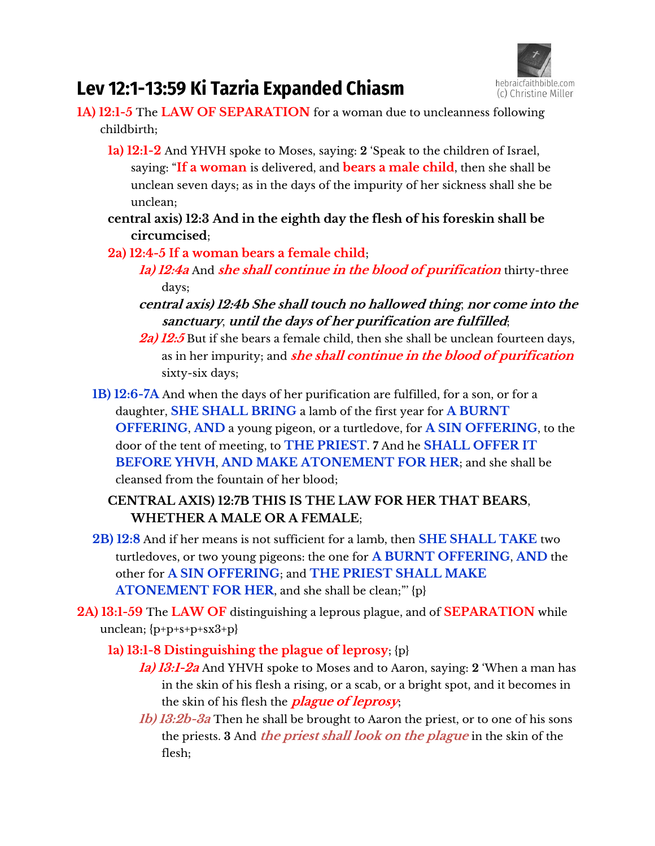

# **Lev 12:1-13:59 Ki Tazria Expanded Chiasm**

- **1A) 12:1-5** The **LAW OF SEPARATION** for a woman due to uncleanness following childbirth;
	- **1a) 12:1-2** And YHVH spoke to Moses, saying: 2 'Speak to the children of Israel, saying: "If a woman is delivered, and **bears a male child**, then she shall be unclean seven days; as in the days of the impurity of her sickness shall she be unclean;
	- **central axis) 12:3 And in the eighth day the flesh of his foreskin shall be circumcised**;
	- **2a) 12:4-5 If a woman bears a female child**;
		- **1a) 12:4a** And **she shall continue in the blood of purification** thirty-three days;
		- **central axis) 12:4b She shall touch no hallowed thing**, **nor come into the sanctuary**, **until the days of her purification are fulfilled**;
		- **2a) 12:5** But if she bears a female child, then she shall be unclean fourteen days, as in her impurity; and **she shall continue in the blood of purification** sixty-six days;
	- **1B) 12:6-7A** And when the days of her purification are fulfilled, for a son, or for a daughter, **SHE SHALL BRING** a lamb of the first year for **A BURNT OFFERING**, **AND** a young pigeon, or a turtledove, for **A SIN OFFERING**, to the door of the tent of meeting, to **THE PRIEST**. **7** And he **SHALL OFFER IT BEFORE YHVH**, **AND MAKE ATONEMENT FOR HER**; and she shall be cleansed from the fountain of her blood;

# **CENTRAL AXIS) 12:7B THIS IS THE LAW FOR HER THAT BEARS**, **WHETHER A MALE OR A FEMALE**;

- **2B) 12:8** And if her means is not sufficient for a lamb, then **SHE SHALL TAKE** two turtledoves, or two young pigeons: the one for **A BURNT OFFERING**, **AND** the other for **A SIN OFFERING**; and **THE PRIEST SHALL MAKE ATONEMENT FOR HER**, and she shall be clean;"' {p}
- **2A) 13:1-59** The **LAW OF** distinguishing a leprous plague, and of **SEPARATION** while unclean;  ${p+p+s+p+sx3+p}$ 
	- **1a) 13:1-8 Distinguishing the plague of leprosy**; {p}
		- **1a) 13:1-2a** And YHVH spoke to Moses and to Aaron, saying: **2** 'When a man has in the skin of his flesh a rising, or a scab, or a bright spot, and it becomes in the skin of his flesh the **plague of leprosy**;
		- **1b) 13:2b-3a** Then he shall be brought to Aaron the priest, or to one of his sons the priests. **3** And **the priest shall look on the plague** in the skin of the flesh;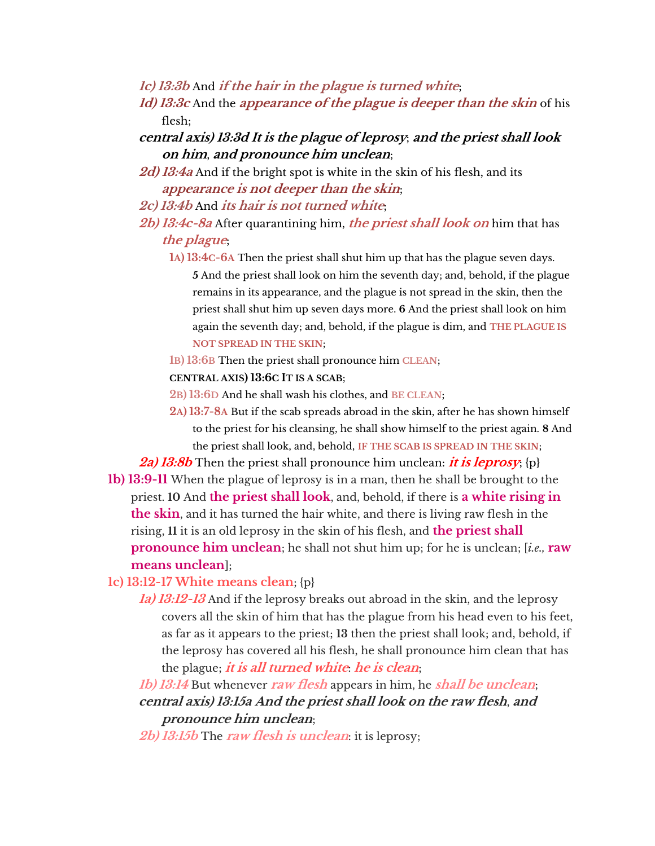- **1c) 13:3b** And **if the hair in the plague is turned white**;
- **1d) 13:3c** And the **appearance of the plague is deeper than the skin** of his flesh;
- **central axis) 13:3d It is the plague of leprosy**; **and the priest shall look on him**, **and pronounce him unclean**;
- **2d) 13:4a** And if the bright spot is white in the skin of his flesh, and its **appearance is not deeper than the skin**;
- **2c) 13:4b** And **its hair is not turned white**;
- **2b) 13:4c-8a** After quarantining him, **the priest shall look on** him that has **the plague**;
	- **1A) 13:4C-6A** Then the priest shall shut him up that has the plague seven days. **5** And the priest shall look on him the seventh day; and, behold, if the plague remains in its appearance, and the plague is not spread in the skin, then the priest shall shut him up seven days more. **6** And the priest shall look on him again the seventh day; and, behold, if the plague is dim, and **THE PLAGUE IS NOT SPREAD IN THE SKIN**;
	- **1B) 13:6B** Then the priest shall pronounce him **CLEAN**;

#### **CENTRAL AXIS) 13:6C IT IS A SCAB**;

- **2B) 13:6D** And he shall wash his clothes, and **BE CLEAN**;
- **2A) 13:7-8A** But if the scab spreads abroad in the skin, after he has shown himself to the priest for his cleansing, he shall show himself to the priest again. **8** And the priest shall look, and, behold, **IF THE SCAB IS SPREAD IN THE SKIN**;

**2a) 13:8b** Then the priest shall pronounce him unclean: **it is leprosy**; {p}

**1b) 13:9-11** When the plague of leprosy is in a man, then he shall be brought to the priest. **10** And **the priest shall look**, and, behold, if there is **a white rising in the skin**, and it has turned the hair white, and there is living raw flesh in the rising, **11** it is an old leprosy in the skin of his flesh, and **the priest shall pronounce him unclean**; he shall not shut him up; for he is unclean; [*i.e.,* **raw means unclean**];

**1c) 13:12-17 White means clean**; {p}

**1a) 13:12-13** And if the leprosy breaks out abroad in the skin, and the leprosy covers all the skin of him that has the plague from his head even to his feet, as far as it appears to the priest; **13** then the priest shall look; and, behold, if the leprosy has covered all his flesh, he shall pronounce him clean that has the plague; **it is all turned white**: **he is clean**;

**1b) 13:14** But whenever **raw flesh** appears in him, he **shall be unclean**; **central axis) 13:15a And the priest shall look on the raw flesh**, **and pronounce him unclean**;

**2b) 13:15b** The **raw flesh is unclean**: it is leprosy;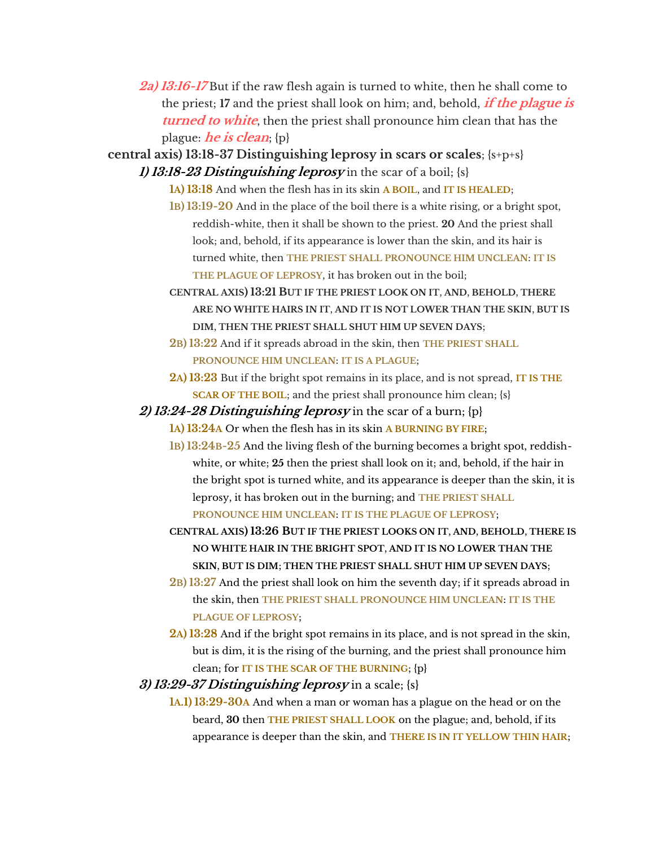- **2a) 13:16-17** But if the raw flesh again is turned to white, then he shall come to the priest; **17** and the priest shall look on him; and, behold, **if the plague is turned to white**, then the priest shall pronounce him clean that has the plague: **he is clean**; {p}
- **central axis) 13:18-37 Distinguishing leprosy in scars or scales**; {s+p+s} **1) 13:18-23 Distinguishing leprosy** in the scar of a boil; {s}
	- **1A) 13:18** And when the flesh has in its skin **A BOIL**, and **IT IS HEALED**;
	- **1B) 13:19-20** And in the place of the boil there is a white rising, or a bright spot, reddish-white, then it shall be shown to the priest. **20** And the priest shall look; and, behold, if its appearance is lower than the skin, and its hair is turned white, then **THE PRIEST SHALL PRONOUNCE HIM UNCLEAN**: **IT IS THE PLAGUE OF LEPROSY**, it has broken out in the boil;
	- **CENTRAL AXIS) 13:21 BUT IF THE PRIEST LOOK ON IT**, **AND**, **BEHOLD**, **THERE ARE NO WHITE HAIRS IN IT**, **AND IT IS NOT LOWER THAN THE SKIN**, **BUT IS DIM**, **THEN THE PRIEST SHALL SHUT HIM UP SEVEN DAYS**;
	- **2B) 13:22** And if it spreads abroad in the skin, then **THE PRIEST SHALL PRONOUNCE HIM UNCLEAN**: **IT IS A PLAGUE**;
	- **2A) 13:23** But if the bright spot remains in its place, and is not spread, **IT IS THE SCAR OF THE BOIL**; and the priest shall pronounce him clean; {s}

**2) 13:24-28 Distinguishing leprosy** in the scar of a burn; {p}

- **1A) 13:24A** Or when the flesh has in its skin **A BURNING BY FIRE**;
- **1B) 13:24B-25** And the living flesh of the burning becomes a bright spot, reddishwhite, or white; **25** then the priest shall look on it; and, behold, if the hair in the bright spot is turned white, and its appearance is deeper than the skin, it is leprosy, it has broken out in the burning; and **THE PRIEST SHALL PRONOUNCE HIM UNCLEAN**: **IT IS THE PLAGUE OF LEPROSY**;
- **CENTRAL AXIS) 13:26 BUT IF THE PRIEST LOOKS ON IT**, **AND**, **BEHOLD**, **THERE IS NO WHITE HAIR IN THE BRIGHT SPOT**, **AND IT IS NO LOWER THAN THE SKIN**, **BUT IS DIM**; **THEN THE PRIEST SHALL SHUT HIM UP SEVEN DAYS**;
- **2B) 13:27** And the priest shall look on him the seventh day; if it spreads abroad in the skin, then **THE PRIEST SHALL PRONOUNCE HIM UNCLEAN**: **IT IS THE PLAGUE OF LEPROSY**;
- **2A) 13:28** And if the bright spot remains in its place, and is not spread in the skin, but is dim, it is the rising of the burning, and the priest shall pronounce him clean; for **IT IS THE SCAR OF THE BURNING**; {p}
- **3) 13:29-37 Distinguishing leprosy** in a scale; {s}
	- **1A.1) 13:29-30A** And when a man or woman has a plague on the head or on the beard, **30** then **THE PRIEST SHALL LOOK** on the plague; and, behold, if its appearance is deeper than the skin, and **THERE IS IN IT YELLOW THIN HAIR**;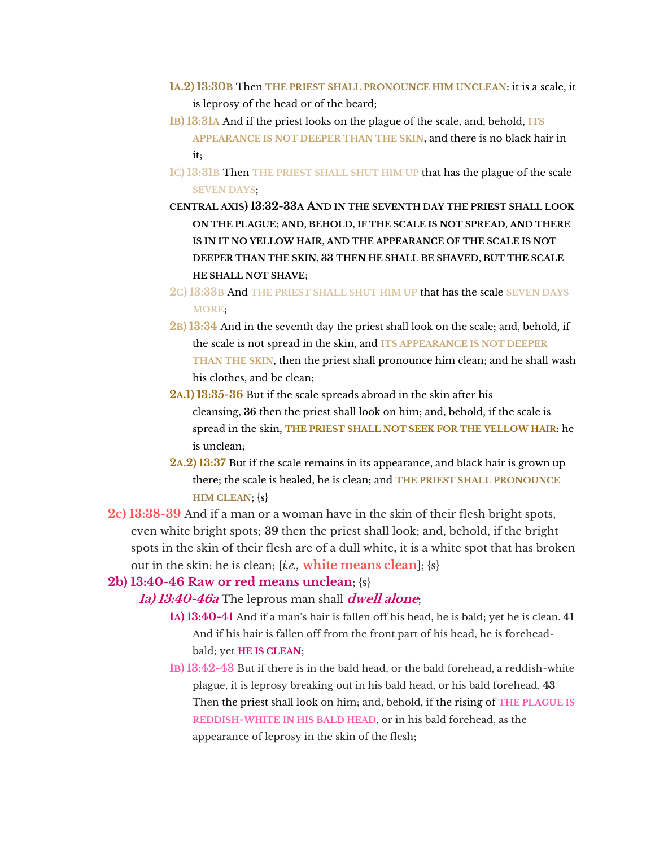- **1A.2) 13:30B** Then **THE PRIEST SHALL PRONOUNCE HIM UNCLEAN**: it is a scale, it is leprosy of the head or of the beard;
- **1B) 13:31A** And if the priest looks on the plague of the scale, and, behold, **ITS APPEARANCE IS NOT DEEPER THAN THE SKIN**, and there is no black hair in it;
- **1C) 13:31B** Then **THE PRIEST SHALL SHUT HIM UP** that has the plague of the scale **SEVEN DAYS**;
- **CENTRAL AXIS) 13:32-33A AND IN THE SEVENTH DAY THE PRIEST SHALL LOOK ON THE PLAGUE**; **AND**, **BEHOLD**, **IF THE SCALE IS NOT SPREAD**, **AND THERE IS IN IT NO YELLOW HAIR**, **AND THE APPEARANCE OF THE SCALE IS NOT DEEPER THAN THE SKIN**, **33 THEN HE SHALL BE SHAVED**, **BUT THE SCALE HE SHALL NOT SHAVE**;
- **2C) 13:33B** And **THE PRIEST SHALL SHUT HIM UP** that has the scale **SEVEN DAYS MORE**;
- **2B) 13:34** And in the seventh day the priest shall look on the scale; and, behold, if the scale is not spread in the skin, and **ITS APPEARANCE IS NOT DEEPER THAN THE SKIN**, then the priest shall pronounce him clean; and he shall wash his clothes, and be clean;
- **2A.1) 13:35-36** But if the scale spreads abroad in the skin after his cleansing, **36** then the priest shall look on him; and, behold, if the scale is spread in the skin, **THE PRIEST SHALL NOT SEEK FOR THE YELLOW HAIR**: he is unclean;
- **2A.2) 13:37** But if the scale remains in its appearance, and black hair is grown up there; the scale is healed, he is clean; and **THE PRIEST SHALL PRONOUNCE HIM CLEAN**; {s}
- **2c) 13:38-39** And if a man or a woman have in the skin of their flesh bright spots, even white bright spots; **39** then the priest shall look; and, behold, if the bright spots in the skin of their flesh are of a dull white, it is a white spot that has broken out in the skin: he is clean; [*i.e.,* **white means clean**]; {s}

# **2b) 13:40-46 Raw or red means unclean**; {s}

#### **1a) 13:40-46a** The leprous man shall **dwell alone**;

- **1A) 13:40-41** Anq if a man's hair is fallen off his head, he is bald; yet he is clean. **41** And if his hair is fallen off from the front part of his head, he is foreheadbald; yet **HE IS CLEAN**;
- **1B) 13:42-43** But if there is in the bald head, or the bald forehead, a reddish-white plague, it is leprosy breaking out in his bald head, or his bald forehead. **43** Then the priest shall look on him; and, behold, if the rising of **THE PLAGUE IS REDDISH-WHITE IN HIS BALD HEAD**, or in his bald forehead, as the appearance of leprosy in the skin of the flesh;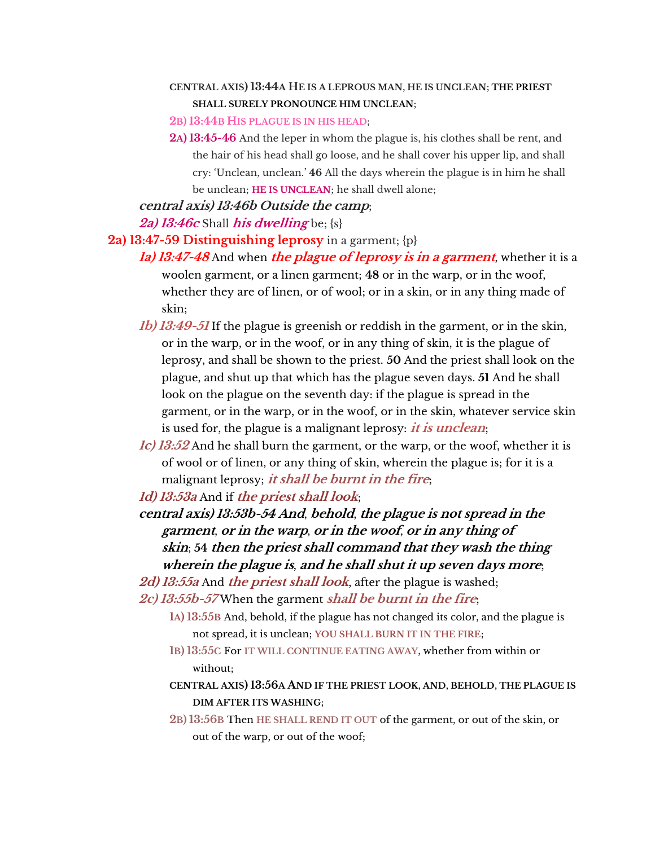#### **CENTRAL AXIS) 13:44A HE IS A LEPROUS MAN**, **HE IS UNCLEAN**; **THE PRIEST SHALL SURELY PRONOUNCE HIM UNCLEAN**;

#### **2B) 13:44B HIS PLAGUE IS IN HIS HEAD**;

**2A) 13:45-46** And the leper in whom the plague is, his clothes shall be rent, and the hair of his head shall go loose, and he shall cover his upper lip, and shall cry: 'Unclean, unclean.' **46** All the days wherein the plague is in him he shall be unclean; **HE IS UNCLEAN**; he shall dwell alone;

**central axis) 13:46b Outside the camp**;

## **2a) 13:46c** Shall **his dwelling** be; {s}

## **2a) 13:47-59 Distinguishing leprosy** in a garment; {p}

- **1a) 13:47-48** And when **the plague of leprosy is in a garment**, whether it is a woolen garment, or a linen garment; **48** or in the warp, or in the woof, whether they are of linen, or of wool; or in a skin, or in any thing made of skin;
- **1b) 13:49-51** If the plague is greenish or reddish in the garment, or in the skin, or in the warp, or in the woof, or in any thing of skin, it is the plague of leprosy, and shall be shown to the priest. **50** And the priest shall look on the plague, and shut up that which has the plague seven days. **51** And he shall look on the plague on the seventh day: if the plague is spread in the garment, or in the warp, or in the woof, or in the skin, whatever service skin is used for, the plague is a malignant leprosy: **it is unclean**;
- **1c) 13:52** And he shall burn the garment, or the warp, or the woof, whether it is of wool or of linen, or any thing of skin, wherein the plague is; for it is a malignant leprosy; **it shall be burnt in the fire**;

**1d) 13:53a** And if **the priest shall look**;

**central axis) 13:53b-54 And**, **behold**, **the plague is not spread in the garment**, **or in the warp**, **or in the woof**, **or in any thing of skin**; **54 then the priest shall command that they wash the thing wherein the plague is**, **and he shall shut it up seven days more**;

**2d) 13:55a** And **the priest shall look**, after the plague is washed; **2c) 13:55b-57** When the garment **shall be burnt in the fire**;

- **1A) 13:55B** And, behold, if the plague has not changed its color, and the plague is not spread, it is unclean; **YOU SHALL BURN IT IN THE FIRE**;
- **1B) 13:55C** For **IT WILL CONTINUE EATING AWAY**, whether from within or without;
- **CENTRAL AXIS) 13:56A AND IF THE PRIEST LOOK**, **AND**, **BEHOLD**, **THE PLAGUE IS DIM AFTER ITS WASHING**;
- **2B) 13:56B** Then **HE SHALL REND IT OUT** of the garment, or out of the skin, or out of the warp, or out of the woof;